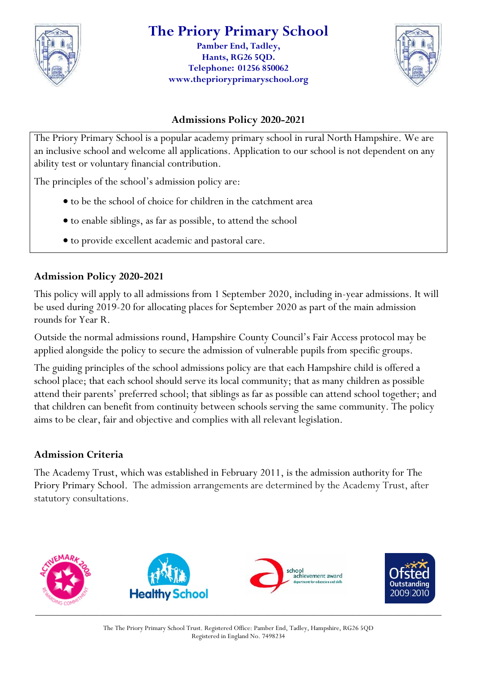

#### **The Priory Primary School Pamber End, Tadley, Hants, RG26 5QD.**

**Telephone: 01256 850062 www.theprioryprimaryschool.org**



#### **Admissions Policy 2020-2021**

The Priory Primary School is a popular academy primary school in rural North Hampshire. We are an inclusive school and welcome all applications. Application to our school is not dependent on any ability test or voluntary financial contribution.

The principles of the school's admission policy are:

- to be the school of choice for children in the catchment area
- to enable siblings, as far as possible, to attend the school
- to provide excellent academic and pastoral care.

#### **Admission Policy 2020-2021**

This policy will apply to all admissions from 1 September 2020, including in-year admissions. It will be used during 2019-20 for allocating places for September 2020 as part of the main admission rounds for Year R.

Outside the normal admissions round, Hampshire County Council's Fair Access protocol may be applied alongside the policy to secure the admission of vulnerable pupils from specific groups.

The guiding principles of the school admissions policy are that each Hampshire child is offered a school place; that each school should serve its local community; that as many children as possible attend their parents' preferred school; that siblings as far as possible can attend school together; and that children can benefit from continuity between schools serving the same community. The policy aims to be clear, fair and objective and complies with all relevant legislation.

#### **Admission Criteria**

The Academy Trust, which was established in February 2011, is the admission authority for The Priory Primary School. The admission arrangements are determined by the Academy Trust, after statutory consultations.

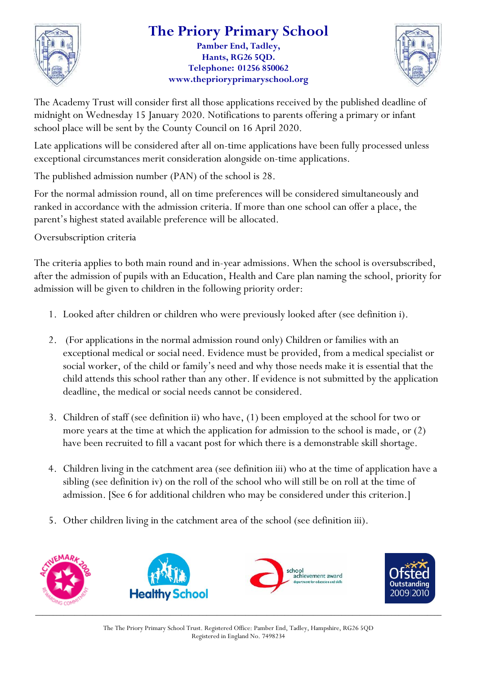

### **The Priory Primary School**

**Pamber End, Tadley, Hants, RG26 5QD. Telephone: 01256 850062 www.theprioryprimaryschool.org**



The Academy Trust will consider first all those applications received by the published deadline of midnight on Wednesday 15 January 2020. Notifications to parents offering a primary or infant school place will be sent by the County Council on 16 April 2020.

Late applications will be considered after all on-time applications have been fully processed unless exceptional circumstances merit consideration alongside on-time applications.

The published admission number (PAN) of the school is 28.

For the normal admission round, all on time preferences will be considered simultaneously and ranked in accordance with the admission criteria. If more than one school can offer a place, the parent's highest stated available preference will be allocated.

Oversubscription criteria

The criteria applies to both main round and in-year admissions. When the school is oversubscribed, after the admission of pupils with an Education, Health and Care plan naming the school, priority for admission will be given to children in the following priority order:

- 1. Looked after children or children who were previously looked after (see definition i).
- 2. (For applications in the normal admission round only) Children or families with an exceptional medical or social need. Evidence must be provided, from a medical specialist or social worker, of the child or family's need and why those needs make it is essential that the child attends this school rather than any other. If evidence is not submitted by the application deadline, the medical or social needs cannot be considered.
- 3. Children of staff (see definition ii) who have, (1) been employed at the school for two or more years at the time at which the application for admission to the school is made, or (2) have been recruited to fill a vacant post for which there is a demonstrable skill shortage.
- 4. Children living in the catchment area (see definition iii) who at the time of application have a sibling (see definition iv) on the roll of the school who will still be on roll at the time of admission. [See 6 for additional children who may be considered under this criterion.]
- 5. Other children living in the catchment area of the school (see definition iii).

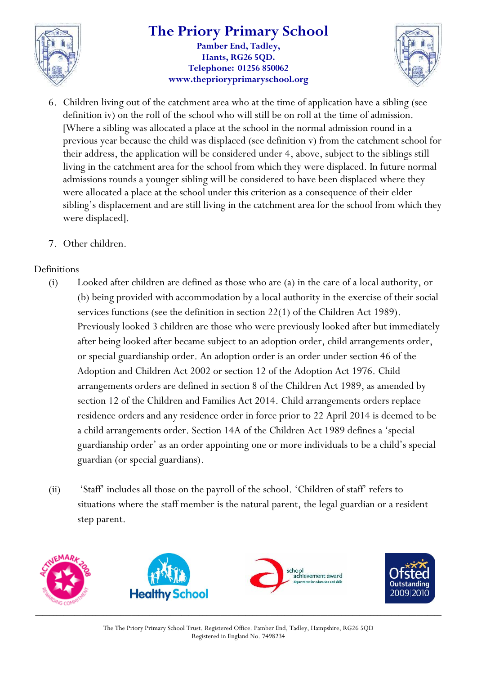

#### **The Priory Primary School Pamber End, Tadley, Hants, RG26 5QD. Telephone: 01256 850062 www.theprioryprimaryschool.org**



- 6. Children living out of the catchment area who at the time of application have a sibling (see definition iv) on the roll of the school who will still be on roll at the time of admission. [Where a sibling was allocated a place at the school in the normal admission round in a previous year because the child was displaced (see definition v) from the catchment school for their address, the application will be considered under 4, above, subject to the siblings still living in the catchment area for the school from which they were displaced. In future normal admissions rounds a younger sibling will be considered to have been displaced where they were allocated a place at the school under this criterion as a consequence of their elder sibling's displacement and are still living in the catchment area for the school from which they were displaced].
- 7. Other children.

#### Definitions

- (i) Looked after children are defined as those who are (a) in the care of a local authority, or (b) being provided with accommodation by a local authority in the exercise of their social services functions (see the definition in section 22(1) of the Children Act 1989). Previously looked 3 children are those who were previously looked after but immediately after being looked after became subject to an adoption order, child arrangements order, or special guardianship order. An adoption order is an order under section 46 of the Adoption and Children Act 2002 or section 12 of the Adoption Act 1976. Child arrangements orders are defined in section 8 of the Children Act 1989, as amended by section 12 of the Children and Families Act 2014. Child arrangements orders replace residence orders and any residence order in force prior to 22 April 2014 is deemed to be a child arrangements order. Section 14A of the Children Act 1989 defines a 'special guardianship order' as an order appointing one or more individuals to be a child's special guardian (or special guardians).
- (ii) 'Staff' includes all those on the payroll of the school. 'Children of staff' refers to situations where the staff member is the natural parent, the legal guardian or a resident step parent.

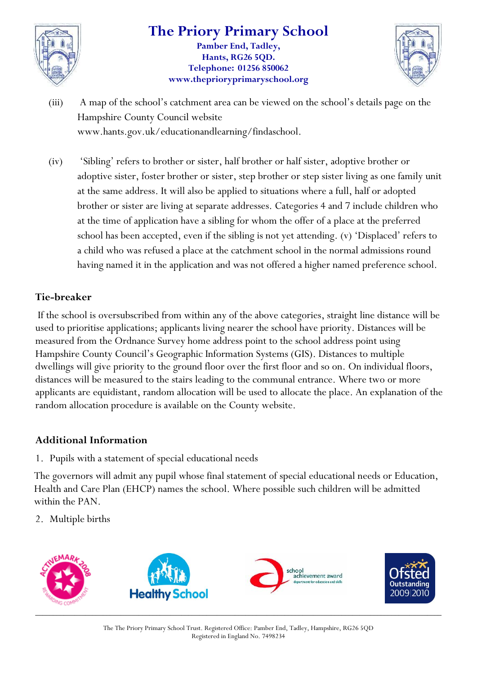

#### **The Priory Primary School Pamber End, Tadley, Hants, RG26 5QD. Telephone: 01256 850062 www.theprioryprimaryschool.org**



- (iii) A map of the school's catchment area can be viewed on the school's details page on the Hampshire County Council website www.hants.gov.uk/educationandlearning/findaschool.
- (iv) 'Sibling' refers to brother or sister, half brother or half sister, adoptive brother or adoptive sister, foster brother or sister, step brother or step sister living as one family unit at the same address. It will also be applied to situations where a full, half or adopted brother or sister are living at separate addresses. Categories 4 and 7 include children who at the time of application have a sibling for whom the offer of a place at the preferred school has been accepted, even if the sibling is not yet attending. (v) 'Displaced' refers to a child who was refused a place at the catchment school in the normal admissions round having named it in the application and was not offered a higher named preference school.

#### **Tie-breaker**

If the school is oversubscribed from within any of the above categories, straight line distance will be used to prioritise applications; applicants living nearer the school have priority. Distances will be measured from the Ordnance Survey home address point to the school address point using Hampshire County Council's Geographic Information Systems (GIS). Distances to multiple dwellings will give priority to the ground floor over the first floor and so on. On individual floors, distances will be measured to the stairs leading to the communal entrance. Where two or more applicants are equidistant, random allocation will be used to allocate the place. An explanation of the random allocation procedure is available on the County website.

#### **Additional Information**

1. Pupils with a statement of special educational needs

The governors will admit any pupil whose final statement of special educational needs or Education, Health and Care Plan (EHCP) names the school. Where possible such children will be admitted within the PAN.

2. Multiple births

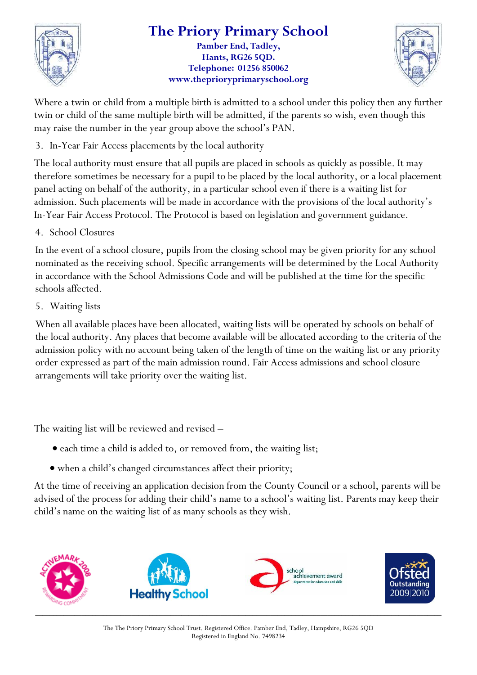

## **The Priory Primary School**

**Pamber End, Tadley, Hants, RG26 5QD. Telephone: 01256 850062 www.theprioryprimaryschool.org**



Where a twin or child from a multiple birth is admitted to a school under this policy then any further twin or child of the same multiple birth will be admitted, if the parents so wish, even though this may raise the number in the year group above the school's PAN.

3. In-Year Fair Access placements by the local authority

The local authority must ensure that all pupils are placed in schools as quickly as possible. It may therefore sometimes be necessary for a pupil to be placed by the local authority, or a local placement panel acting on behalf of the authority, in a particular school even if there is a waiting list for admission. Such placements will be made in accordance with the provisions of the local authority's In-Year Fair Access Protocol. The Protocol is based on legislation and government guidance.

4. School Closures

In the event of a school closure, pupils from the closing school may be given priority for any school nominated as the receiving school. Specific arrangements will be determined by the Local Authority in accordance with the School Admissions Code and will be published at the time for the specific schools affected.

5. Waiting lists

When all available places have been allocated, waiting lists will be operated by schools on behalf of the local authority. Any places that become available will be allocated according to the criteria of the admission policy with no account being taken of the length of time on the waiting list or any priority order expressed as part of the main admission round. Fair Access admissions and school closure arrangements will take priority over the waiting list.

The waiting list will be reviewed and revised –

- each time a child is added to, or removed from, the waiting list;
- when a child's changed circumstances affect their priority;

At the time of receiving an application decision from the County Council or a school, parents will be advised of the process for adding their child's name to a school's waiting list. Parents may keep their child's name on the waiting list of as many schools as they wish.

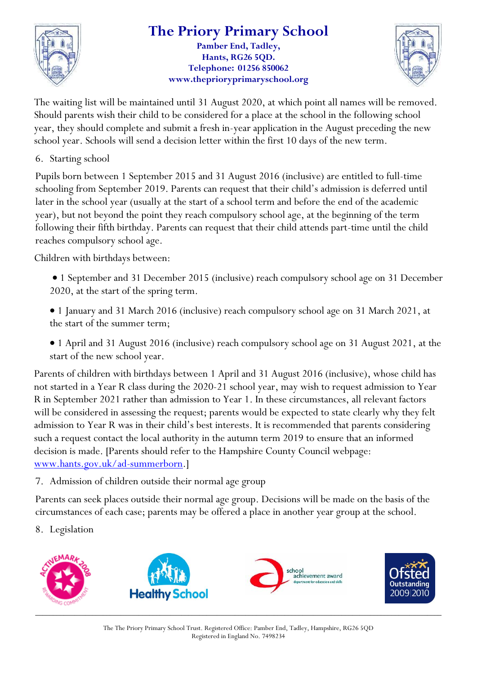

#### **The Priory Primary School Pamber End, Tadley,**

**Hants, RG26 5QD. Telephone: 01256 850062 www.theprioryprimaryschool.org**



The waiting list will be maintained until 31 August 2020, at which point all names will be removed. Should parents wish their child to be considered for a place at the school in the following school year, they should complete and submit a fresh in-year application in the August preceding the new school year. Schools will send a decision letter within the first 10 days of the new term.

6. Starting school

Pupils born between 1 September 2015 and 31 August 2016 (inclusive) are entitled to full-time schooling from September 2019. Parents can request that their child's admission is deferred until later in the school year (usually at the start of a school term and before the end of the academic year), but not beyond the point they reach compulsory school age, at the beginning of the term following their fifth birthday. Parents can request that their child attends part-time until the child reaches compulsory school age.

Children with birthdays between:

 1 September and 31 December 2015 (inclusive) reach compulsory school age on 31 December 2020, at the start of the spring term.

 1 January and 31 March 2016 (inclusive) reach compulsory school age on 31 March 2021, at the start of the summer term;

 1 April and 31 August 2016 (inclusive) reach compulsory school age on 31 August 2021, at the start of the new school year.

Parents of children with birthdays between 1 April and 31 August 2016 (inclusive), whose child has not started in a Year R class during the 2020-21 school year, may wish to request admission to Year R in September 2021 rather than admission to Year 1. In these circumstances, all relevant factors will be considered in assessing the request; parents would be expected to state clearly why they felt admission to Year R was in their child's best interests. It is recommended that parents considering such a request contact the local authority in the autumn term 2019 to ensure that an informed decision is made. [Parents should refer to the Hampshire County Council webpage: [www.hants.gov.uk/ad-summerborn.](http://www.hants.gov.uk/ad-summerborn)]

7. Admission of children outside their normal age group

Parents can seek places outside their normal age group. Decisions will be made on the basis of the circumstances of each case; parents may be offered a place in another year group at the school.

8. Legislation